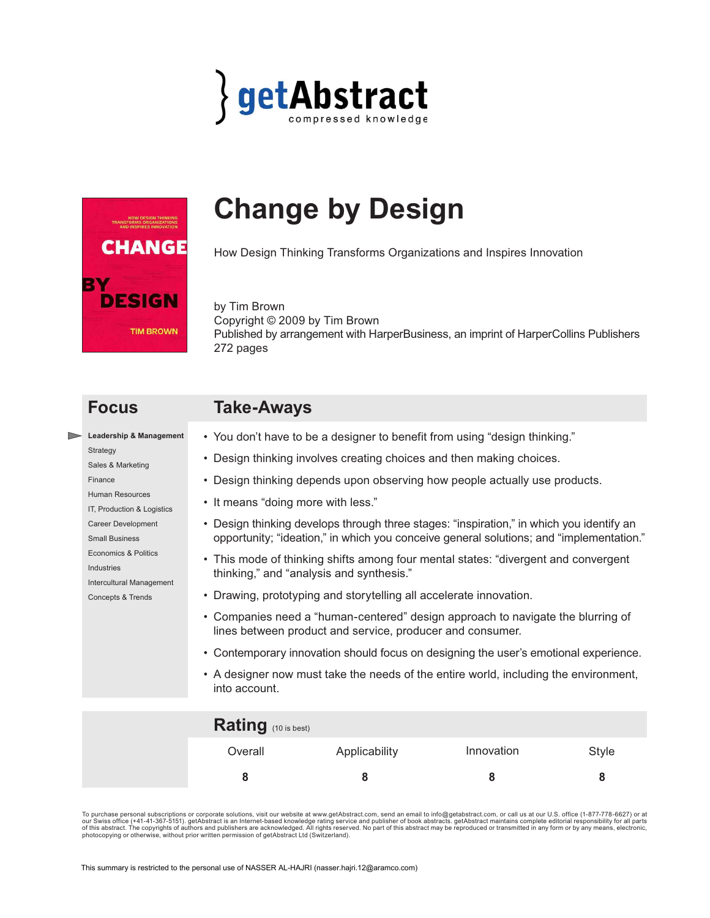



# **Change by Design**

How Design Thinking Transforms Organizations and Inspires Innovation

by Tim Brown Copyright © 2009 by Tim Brown Published by arrangement with HarperBusiness, an imprint of HarperCollins Publishers 272 pages

# **Focus Take-Aways**

- **Leadership & Management** 
	- **Strategy** Sales & Marketing Finance Human Resources IT, Production & Logistics Career Development Small Business Economics & Politics Industries Intercultural Management Concepts & Trends
- You don't have to be a designer to benefit from using "design thinking."
- Design thinking involves creating choices and then making choices.
- Design thinking depends upon observing how people actually use products.
- It means "doing more with less."
- Design thinking develops through three stages: "inspiration," in which you identify an opportunity; "ideation," in which you conceive general solutions; and "implementation."
- This mode of thinking shifts among four mental states: "divergent and convergent thinking," and "analysis and synthesis."
- Drawing, prototyping and storytelling all accelerate innovation.
- Companies need a "human-centered" design approach to navigate the blurring of lines between product and service, producer and consumer.
- Contemporary innovation should focus on designing the user's emotional experience.
- A designer now must take the needs of the entire world, including the environment, into account.

| Rating (10 is best) |               |            |       |
|---------------------|---------------|------------|-------|
| Overall             | Applicability | Innovation | Style |
|                     |               | 8          |       |

To purchase personal subscriptions or corporate solutions, visit our website at www.getAbstract.com, send an email to info@getabstract.com, or call us at our U.S. office (1-877-778-6627) or at our Swiss office (+41-41-367-5151). getAbstract is an Internet-based knowledge rating service and publisher of book abstracts. getAbstract maintains complete editorial responsibility for all parts<br>of this abstract. The cop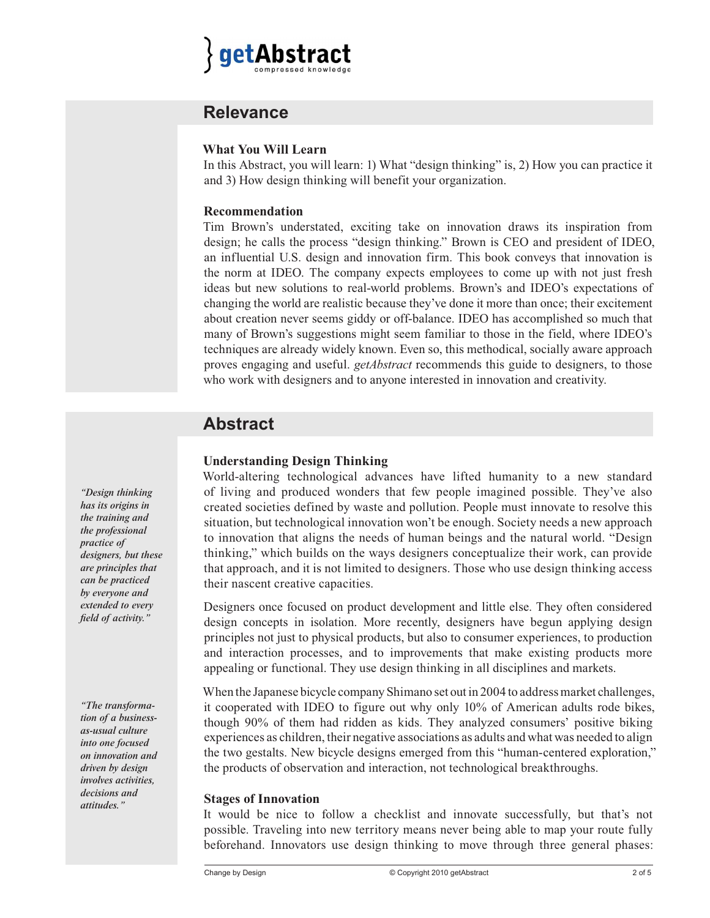

# **Relevance**

## **What You Will Learn**

In this Abstract, you will learn: 1) What "design thinking" is, 2) How you can practice it and 3) How design thinking will benefit your organization.

#### **Recommendation**

Tim Brown's understated, exciting take on innovation draws its inspiration from design; he calls the process "design thinking." Brown is CEO and president of IDEO, an influential U.S. design and innovation firm. This book conveys that innovation is the norm at IDEO. The company expects employees to come up with not just fresh ideas but new solutions to real-world problems. Brown's and IDEO's expectations of changing the world are realistic because they've done it more than once; their excitement about creation never seems giddy or off-balance. IDEO has accomplished so much that many of Brown's suggestions might seem familiar to those in the field, where IDEO's techniques are already widely known. Even so, this methodical, socially aware approach proves engaging and useful. *getAbstract* recommends this guide to designers, to those who work with designers and to anyone interested in innovation and creativity.

# **Abstract**

# **Understanding Design Thinking**

World-altering technological advances have lifted humanity to a new standard of living and produced wonders that few people imagined possible. They've also created societies defined by waste and pollution. People must innovate to resolve this situation, but technological innovation won't be enough. Society needs a new approach to innovation that aligns the needs of human beings and the natural world. "Design thinking," which builds on the ways designers conceptualize their work, can provide that approach, and it is not limited to designers. Those who use design thinking access their nascent creative capacities.

Designers once focused on product development and little else. They often considered design concepts in isolation. More recently, designers have begun applying design principles not just to physical products, but also to consumer experiences, to production and interaction processes, and to improvements that make existing products more appealing or functional. They use design thinking in all disciplines and markets.

When the Japanese bicycle company Shimano set out in 2004 to address market challenges, it cooperated with IDEO to figure out why only 10% of American adults rode bikes, though 90% of them had ridden as kids. They analyzed consumers' positive biking experiences as children, their negative associations as adults and what was needed to align the two gestalts. New bicycle designs emerged from this "human-centered exploration," the products of observation and interaction, not technological breakthroughs.

#### **Stages of Innovation**

It would be nice to follow a checklist and innovate successfully, but that's not possible. Traveling into new territory means never being able to map your route fully beforehand. Innovators use design thinking to move through three general phases:

"Design thinking has its origins in the training and the professional practice of designers, but these are principles that can be practiced by everyone and extended to every field of activity."

"The transformation of a businessas-usual culture into one focused on innovation and driven by design involves activities, decisions and attitudes."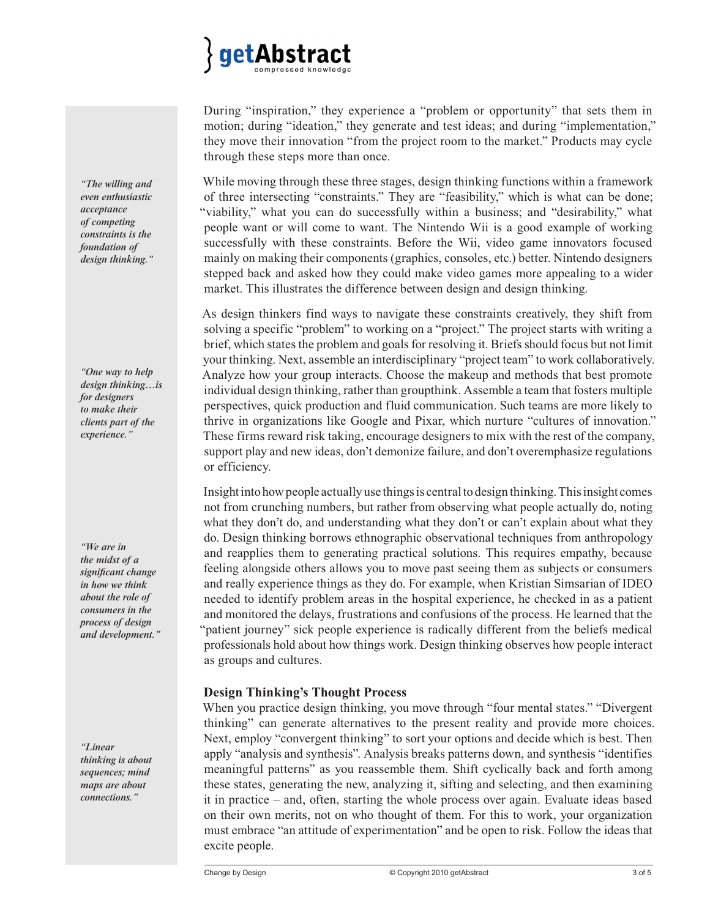

During "inspiration," they experience a "problem or opportunity" that sets them in motion; during "ideation," they generate and test ideas; and during "implementation," they move their innovation "from the project room to the market." Products may cycle through these steps more than once.

While moving through these three stages, design thinking functions within a framework of three intersecting "constraints." They are "feasibility," which is what can be done; "viability," what you can do successfully within a business; and "desirability," what people want or will come to want. The Nintendo Wii is a good example of working successfully with these constraints. Before the Wii, video game innovators focused mainly on making their components (graphics, consoles, etc.) better. Nintendo designers stepped back and asked how they could make video games more appealing to a wider market. This illustrates the difference between design and design thinking.

As design thinkers find ways to navigate these constraints creatively, they shift from solving a specific "problem" to working on a "project." The project starts with writing a brief, which states the problem and goals for resolving it. Briefs should focus but not limit your thinking. Next, assemble an interdisciplinary "project team" to work collaboratively. Analyze how your group interacts. Choose the makeup and methods that best promote individual design thinking, rather than groupthink. Assemble a team that fosters multiple perspectives, quick production and fluid communication. Such teams are more likely to thrive in organizations like Google and Pixar, which nurture "cultures of innovation." These firms reward risk taking, encourage designers to mix with the rest of the company, support play and new ideas, don't demonize failure, and don't overemphasize regulations or efficiency.

Insight into how people actually use things is central to design thinking. This insight comes not from crunching numbers, but rather from observing what people actually do, noting what they don't do, and understanding what they don't or can't explain about what they do. Design thinking borrows ethnographic observational techniques from anthropology and reapplies them to generating practical solutions. This requires empathy, because feeling alongside others allows you to move past seeing them as subjects or consumers and really experience things as they do. For example, when Kristian Simsarian of IDEO needed to identify problem areas in the hospital experience, he checked in as a patient and monitored the delays, frustrations and confusions of the process. He learned that the "patient journey" sick people experience is radically different from the beliefs medical professionals hold about how things work. Design thinking observes how people interact as groups and cultures.

# **Design Thinking's Thought Process**

When you practice design thinking, you move through "four mental states." "Divergent thinking" can generate alternatives to the present reality and provide more choices. Next, employ "convergent thinking" to sort your options and decide which is best. Then apply "analysis and synthesis". Analysis breaks patterns down, and synthesis "identifies meaningful patterns" as you reassemble them. Shift cyclically back and forth among these states, generating the new, analyzing it, sifting and selecting, and then examining it in practice – and, often, starting the whole process over again. Evaluate ideas based on their own merits, not on who thought of them. For this to work, your organization must embrace "an attitude of experimentation" and be open to risk. Follow the ideas that excite people.

"The willing and even enthusiastic acceptance of competing constraints is the foundation of design thinking."

"One way to help design thinking…is for designers to make their clients part of the experience."

"We are in the midst of a significant change in how we think about the role of consumers in the process of design and development."

"Linear thinking is about sequences; mind maps are about connections."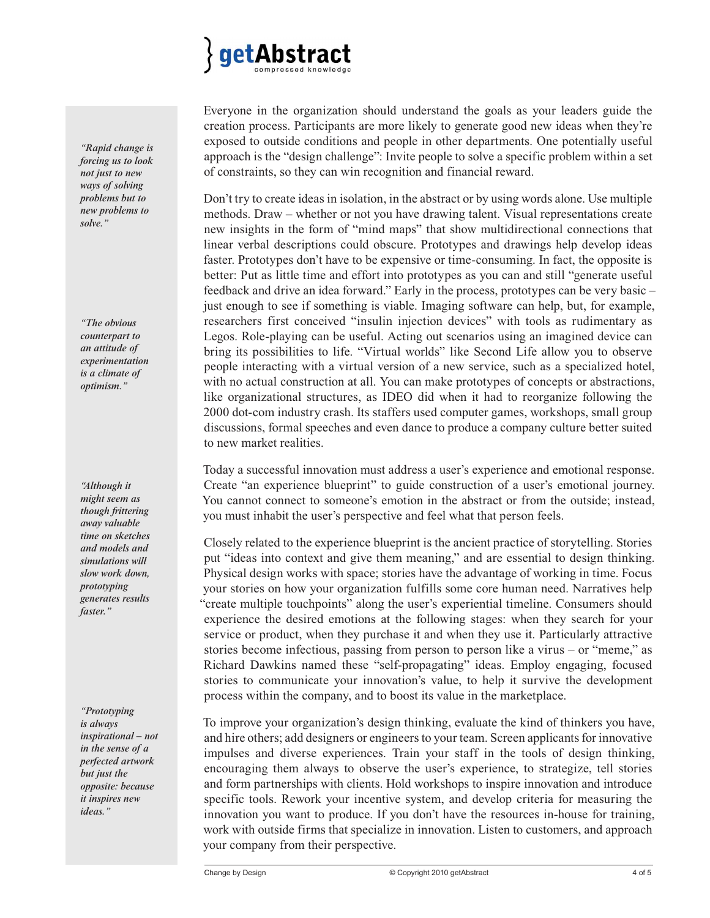

Everyone in the organization should understand the goals as your leaders guide the creation process. Participants are more likely to generate good new ideas when they're exposed to outside conditions and people in other departments. One potentially useful approach is the "design challenge": Invite people to solve a specific problem within a set of constraints, so they can win recognition and financial reward.

Don't try to create ideas in isolation, in the abstract or by using words alone. Use multiple methods. Draw – whether or not you have drawing talent. Visual representations create new insights in the form of "mind maps" that show multidirectional connections that linear verbal descriptions could obscure. Prototypes and drawings help develop ideas faster. Prototypes don't have to be expensive or time-consuming. In fact, the opposite is better: Put as little time and effort into prototypes as you can and still "generate useful feedback and drive an idea forward." Early in the process, prototypes can be very basic – just enough to see if something is viable. Imaging software can help, but, for example, researchers first conceived "insulin injection devices" with tools as rudimentary as Legos. Role-playing can be useful. Acting out scenarios using an imagined device can bring its possibilities to life. "Virtual worlds" like Second Life allow you to observe people interacting with a virtual version of a new service, such as a specialized hotel, with no actual construction at all. You can make prototypes of concepts or abstractions, like organizational structures, as IDEO did when it had to reorganize following the 2000 dot-com industry crash. Its staffers used computer games, workshops, small group discussions, formal speeches and even dance to produce a company culture better suited to new market realities.

Today a successful innovation must address a user's experience and emotional response. Create "an experience blueprint" to guide construction of a user's emotional journey. You cannot connect to someone's emotion in the abstract or from the outside; instead, you must inhabit the user's perspective and feel what that person feels.

Closely related to the experience blueprint is the ancient practice of storytelling. Stories put "ideas into context and give them meaning," and are essential to design thinking. Physical design works with space; stories have the advantage of working in time. Focus your stories on how your organization fulfills some core human need. Narratives help "create multiple touchpoints" along the user's experiential timeline. Consumers should experience the desired emotions at the following stages: when they search for your service or product, when they purchase it and when they use it. Particularly attractive stories become infectious, passing from person to person like a virus – or "meme," as Richard Dawkins named these "self-propagating" ideas. Employ engaging, focused stories to communicate your innovation's value, to help it survive the development process within the company, and to boost its value in the marketplace.

To improve your organization's design thinking, evaluate the kind of thinkers you have, and hire others; add designers or engineers to your team. Screen applicants for innovative impulses and diverse experiences. Train your staff in the tools of design thinking, encouraging them always to observe the user's experience, to strategize, tell stories and form partnerships with clients. Hold workshops to inspire innovation and introduce specific tools. Rework your incentive system, and develop criteria for measuring the innovation you want to produce. If you don't have the resources in-house for training, work with outside firms that specialize in innovation. Listen to customers, and approach your company from their perspective.

"Rapid change is forcing us to look not just to new ways of solving problems but to new problems to solve."

"The obvious counterpart to an attitude of experimentation is a climate of optimism."

"Although it might seem as though frittering away valuable time on sketches and models and simulations will slow work down, prototyping generates results faster."

"Prototyping is always inspirational – not in the sense of a perfected artwork but just the opposite: because it inspires new ideas."